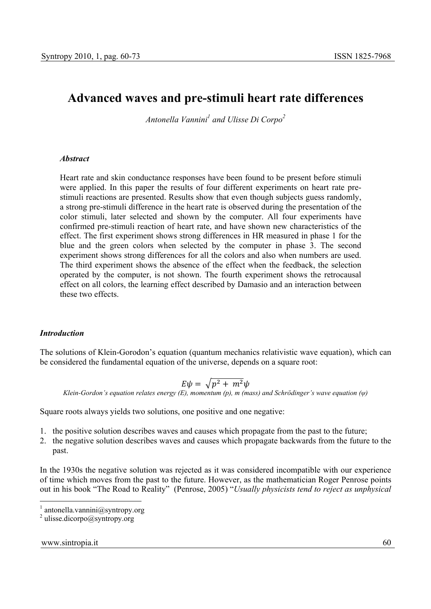# **Advanced waves and pre-stimuli heart rate differences**

*Antonella Vannini1 and Ulisse Di Corpo<sup>2</sup>*

#### *Abstract*

Heart rate and skin conductance responses have been found to be present before stimuli were applied. In this paper the results of four different experiments on heart rate prestimuli reactions are presented. Results show that even though subjects guess randomly, a strong pre-stimuli difference in the heart rate is observed during the presentation of the color stimuli, later selected and shown by the computer. All four experiments have confirmed pre-stimuli reaction of heart rate, and have shown new characteristics of the effect. The first experiment shows strong differences in HR measured in phase 1 for the blue and the green colors when selected by the computer in phase 3. The second experiment shows strong differences for all the colors and also when numbers are used. The third experiment shows the absence of the effect when the feedback, the selection operated by the computer, is not shown. The fourth experiment shows the retrocausal effect on all colors, the learning effect described by Damasio and an interaction between these two effects.

#### *Introduction*

The solutions of Klein-Gorodon's equation (quantum mechanics relativistic wave equation), which can be considered the fundamental equation of the universe, depends on a square root:

$$
E\psi = \sqrt{p^2 + m^2}\psi
$$

*Klein-Gordon's equation relates energy (E), momentum (p), m (mass) and Schrödinger's wave equation (ψ)* 

Square roots always yields two solutions, one positive and one negative:

- 1. the positive solution describes waves and causes which propagate from the past to the future;
- 2. the negative solution describes waves and causes which propagate backwards from the future to the past.

In the 1930s the negative solution was rejected as it was considered incompatible with our experience of time which moves from the past to the future. However, as the mathematician Roger Penrose points out in his book "The Road to Reality" (Penrose, 2005) "*Usually physicists tend to reject as unphysical* 

#### www.sintropia.it 60

 $\frac{1}{2}$  antonella.vannini@syntropy.org

<sup>&</sup>lt;sup>2</sup> ulisse.dicorpo@syntropy.org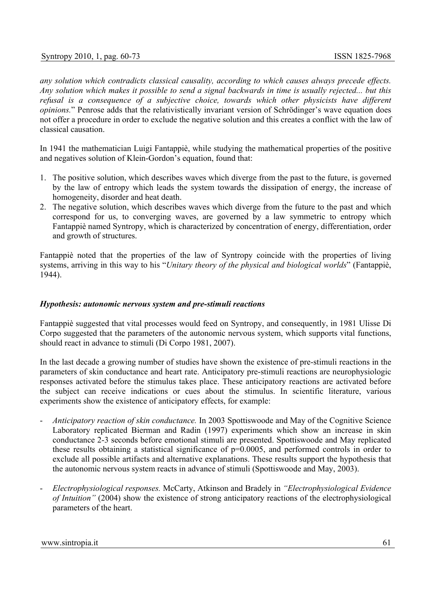*any solution which contradicts classical causality, according to which causes always precede effects. Any solution which makes it possible to send a signal backwards in time is usually rejected... but this refusal is a consequence of a subjective choice, towards which other physicists have different opinions.*" Penrose adds that the relativistically invariant version of Schrödinger's wave equation does not offer a procedure in order to exclude the negative solution and this creates a conflict with the law of classical causation.

In 1941 the mathematician Luigi Fantappiè, while studying the mathematical properties of the positive and negatives solution of Klein-Gordon's equation, found that:

- 1. The positive solution, which describes waves which diverge from the past to the future, is governed by the law of entropy which leads the system towards the dissipation of energy, the increase of homogeneity, disorder and heat death.
- 2. The negative solution, which describes waves which diverge from the future to the past and which correspond for us, to converging waves, are governed by a law symmetric to entropy which Fantappiè named Syntropy, which is characterized by concentration of energy, differentiation, order and growth of structures.

Fantappiè noted that the properties of the law of Syntropy coincide with the properties of living systems, arriving in this way to his "*Unitary theory of the physical and biological worlds*" (Fantappiè, 1944).

#### *Hypothesis: autonomic nervous system and pre-stimuli reactions*

Fantappiè suggested that vital processes would feed on Syntropy, and consequently, in 1981 Ulisse Di Corpo suggested that the parameters of the autonomic nervous system, which supports vital functions, should react in advance to stimuli (Di Corpo 1981, 2007).

In the last decade a growing number of studies have shown the existence of pre-stimuli reactions in the parameters of skin conductance and heart rate. Anticipatory pre-stimuli reactions are neurophysiologic responses activated before the stimulus takes place. These anticipatory reactions are activated before the subject can receive indications or cues about the stimulus. In scientific literature, various experiments show the existence of anticipatory effects, for example:

- *Anticipatory reaction of skin conductance.* In 2003 Spottiswoode and May of the Cognitive Science Laboratory replicated Bierman and Radin (1997) experiments which show an increase in skin conductance 2-3 seconds before emotional stimuli are presented. Spottiswoode and May replicated these results obtaining a statistical significance of p=0.0005, and performed controls in order to exclude all possible artifacts and alternative explanations. These results support the hypothesis that the autonomic nervous system reacts in advance of stimuli (Spottiswoode and May, 2003).
- *Electrophysiological responses.* McCarty, Atkinson and Bradely in *"Electrophysiological Evidence of Intuition"* (2004) show the existence of strong anticipatory reactions of the electrophysiological parameters of the heart.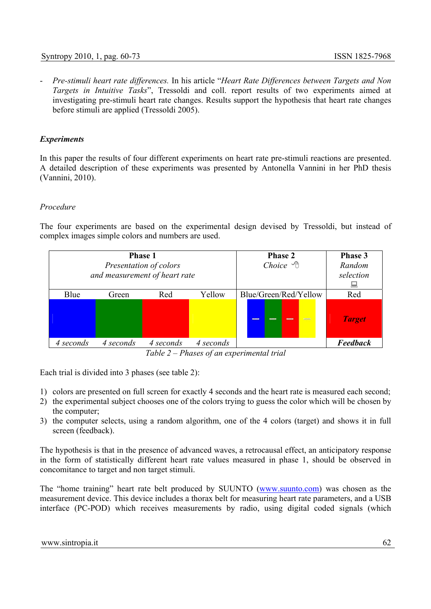- *Pre-stimuli heart rate differences.* In his article "*Heart Rate Differences between Targets and Non Targets in Intuitive Tasks*", Tressoldi and coll. report results of two experiments aimed at investigating pre-stimuli heart rate changes. Results support the hypothesis that heart rate changes before stimuli are applied (Tressoldi 2005).

# *Experiments*

In this paper the results of four different experiments on heart rate pre-stimuli reactions are presented. A detailed description of these experiments was presented by Antonella Vannini in her PhD thesis (Vannini, 2010).

# *Procedure*

The four experiments are based on the experimental design devised by Tressoldi, but instead of complex images simple colors and numbers are used.

| <b>Phase 1</b><br>Presentation of colors<br>and measurement of heart rate |           |           |           | <b>Phase 2</b><br>Choice $\mathcal{A}$ | Phase 3<br>Random<br>selection<br>U |
|---------------------------------------------------------------------------|-----------|-----------|-----------|----------------------------------------|-------------------------------------|
| Blue                                                                      | Green     | Red       | Yellow    | Blue/Green/Red/Yellow                  | Red                                 |
|                                                                           |           |           |           | <b>SANCHO</b><br>--<br>$\blacksquare$  | <b>Target</b>                       |
| 4 seconds                                                                 | 4 seconds | 4 seconds | 4 seconds |                                        | <b>Feedback</b>                     |

*Table 2 – Phases of an experimental trial* 

Each trial is divided into 3 phases (see table 2):

- 1) colors are presented on full screen for exactly 4 seconds and the heart rate is measured each second;
- 2) the experimental subject chooses one of the colors trying to guess the color which will be chosen by the computer;
- 3) the computer selects, using a random algorithm, one of the 4 colors (target) and shows it in full screen (feedback).

The hypothesis is that in the presence of advanced waves, a retrocausal effect, an anticipatory response in the form of statistically different heart rate values measured in phase 1, should be observed in concomitance to target and non target stimuli.

The "home training" heart rate belt produced by SUUNTO (www.suunto.com) was chosen as the measurement device. This device includes a thorax belt for measuring heart rate parameters, and a USB interface (PC-POD) which receives measurements by radio, using digital coded signals (which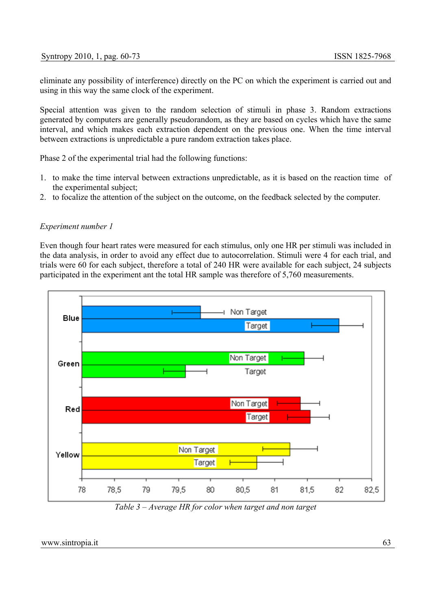eliminate any possibility of interference) directly on the PC on which the experiment is carried out and using in this way the same clock of the experiment.

Special attention was given to the random selection of stimuli in phase 3. Random extractions generated by computers are generally pseudorandom, as they are based on cycles which have the same interval, and which makes each extraction dependent on the previous one. When the time interval between extractions is unpredictable a pure random extraction takes place.

Phase 2 of the experimental trial had the following functions:

- 1. to make the time interval between extractions unpredictable, as it is based on the reaction time of the experimental subject;
- 2. to focalize the attention of the subject on the outcome, on the feedback selected by the computer.

#### *Experiment number 1*

Even though four heart rates were measured for each stimulus, only one HR per stimuli was included in the data analysis, in order to avoid any effect due to autocorrelation. Stimuli were 4 for each trial, and trials were 60 for each subject, therefore a total of 240 HR were available for each subject, 24 subjects participated in the experiment ant the total HR sample was therefore of 5,760 measurements.



*Table 3 – Average HR for color when target and non target*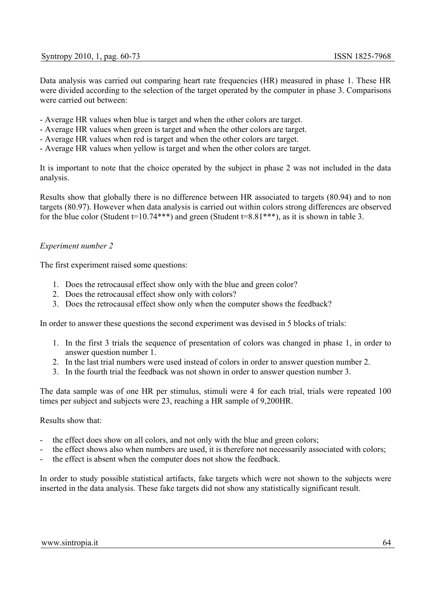Data analysis was carried out comparing heart rate frequencies (HR) measured in phase 1. These HR were divided according to the selection of the target operated by the computer in phase 3. Comparisons were carried out between:

- Average HR values when blue is target and when the other colors are target.
- Average HR values when green is target and when the other colors are target.
- Average HR values when red is target and when the other colors are target.
- Average HR values when yellow is target and when the other colors are target.

It is important to note that the choice operated by the subject in phase 2 was not included in the data analysis.

Results show that globally there is no difference between HR associated to targets (80.94) and to non targets (80.97). However when data analysis is carried out within colors strong differences are observed for the blue color (Student  $t=10.74***$ ) and green (Student  $t=8.81***$ ), as it is shown in table 3.

# *Experiment number 2*

The first experiment raised some questions:

- 1. Does the retrocausal effect show only with the blue and green color?
- 2. Does the retrocausal effect show only with colors?
- 3. Does the retrocausal effect show only when the computer shows the feedback?

In order to answer these questions the second experiment was devised in 5 blocks of trials:

- 1. In the first 3 trials the sequence of presentation of colors was changed in phase 1, in order to answer question number 1.
- 2. In the last trial numbers were used instead of colors in order to answer question number 2.
- 3. In the fourth trial the feedback was not shown in order to answer question number 3.

The data sample was of one HR per stimulus, stimuli were 4 for each trial, trials were repeated 100 times per subject and subjects were 23, reaching a HR sample of 9,200HR.

# Results show that:

- the effect does show on all colors, and not only with the blue and green colors;
- the effect shows also when numbers are used, it is therefore not necessarily associated with colors;
- the effect is absent when the computer does not show the feedback.

In order to study possible statistical artifacts, fake targets which were not shown to the subjects were inserted in the data analysis. These fake targets did not show any statistically significant result.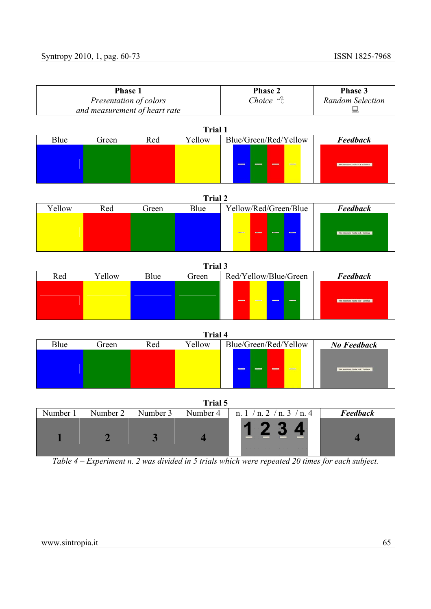| Phase 1                       |                |                         |          | Phase 2                                                                                                          | Phase 3                                |  |  |
|-------------------------------|----------------|-------------------------|----------|------------------------------------------------------------------------------------------------------------------|----------------------------------------|--|--|
| Presentation of colors        |                |                         |          | Choice $\mathcal{A}$                                                                                             | <b>Random Selection</b>                |  |  |
| and measurement of heart rate |                |                         |          | 鳳                                                                                                                |                                        |  |  |
| <b>Trial 1</b>                |                |                         |          |                                                                                                                  |                                        |  |  |
| Blue                          | Green          | Red                     | Yellow   | Blue/Green/Red/Yellow                                                                                            | <b>Feedback</b>                        |  |  |
|                               |                |                         |          |                                                                                                                  |                                        |  |  |
|                               | <b>Trial 2</b> |                         |          |                                                                                                                  |                                        |  |  |
| Yellow                        | Red            | Green                   | Blue     | Yellow/Red/Green/Blue                                                                                            | <b>Feedback</b>                        |  |  |
|                               |                |                         |          |                                                                                                                  | - Hai indomato 1 volta us 2 - Continua |  |  |
| <b>Trial 3</b>                |                |                         |          |                                                                                                                  |                                        |  |  |
| Red                           | Yellow         | Blue                    | Green    | Red/Yellow/Blue/Green                                                                                            | Feedback                               |  |  |
|                               |                |                         |          |                                                                                                                  | unio 1 volta su 3 - Continua           |  |  |
|                               |                |                         |          |                                                                                                                  |                                        |  |  |
|                               |                |                         | Trial 4  |                                                                                                                  |                                        |  |  |
| Blue                          | Green          | Red                     | Yellow   | Blue/Green/Red/Yellow                                                                                            | No Feedback                            |  |  |
|                               |                |                         |          |                                                                                                                  | Hai indovenzio D volle su & - Continue |  |  |
| Trial 5                       |                |                         |          |                                                                                                                  |                                        |  |  |
| Number 1                      | Number 2       | Number 3                | Number 4 | n. $1/n. 2/n. 3/n. 4$                                                                                            | <b>Feedback</b>                        |  |  |
|                               | $\overline{2}$ | $\overline{\mathbf{3}}$ |          | <u> 1 2 3 4 </u><br>Table 1 Experiment n 2 was divided in 5 trials which were repeated 20 times for each subject | 4                                      |  |  |

*Table 4 – Experiment n. 2 was divided in 5 trials which were repeated 20 times for each subject.*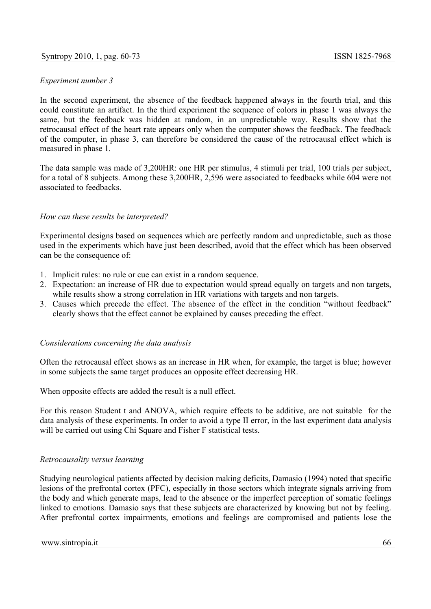# *Experiment number 3*

In the second experiment, the absence of the feedback happened always in the fourth trial, and this could constitute an artifact. In the third experiment the sequence of colors in phase 1 was always the same, but the feedback was hidden at random, in an unpredictable way. Results show that the retrocausal effect of the heart rate appears only when the computer shows the feedback. The feedback of the computer, in phase 3, can therefore be considered the cause of the retrocausal effect which is measured in phase 1.

The data sample was made of 3,200HR: one HR per stimulus, 4 stimuli per trial, 100 trials per subject, for a total of 8 subjects. Among these 3,200HR, 2,596 were associated to feedbacks while 604 were not associated to feedbacks.

# *How can these results be interpreted?*

Experimental designs based on sequences which are perfectly random and unpredictable, such as those used in the experiments which have just been described, avoid that the effect which has been observed can be the consequence of:

- 1. Implicit rules: no rule or cue can exist in a random sequence.
- 2. Expectation: an increase of HR due to expectation would spread equally on targets and non targets, while results show a strong correlation in HR variations with targets and non targets.
- 3. Causes which precede the effect. The absence of the effect in the condition "without feedback" clearly shows that the effect cannot be explained by causes preceding the effect.

# *Considerations concerning the data analysis*

Often the retrocausal effect shows as an increase in HR when, for example, the target is blue; however in some subjects the same target produces an opposite effect decreasing HR.

When opposite effects are added the result is a null effect.

For this reason Student t and ANOVA, which require effects to be additive, are not suitable for the data analysis of these experiments. In order to avoid a type II error, in the last experiment data analysis will be carried out using Chi Square and Fisher F statistical tests.

# *Retrocausality versus learning*

Studying neurological patients affected by decision making deficits, Damasio (1994) noted that specific lesions of the prefrontal cortex (PFC), especially in those sectors which integrate signals arriving from the body and which generate maps, lead to the absence or the imperfect perception of somatic feelings linked to emotions. Damasio says that these subjects are characterized by knowing but not by feeling. After prefrontal cortex impairments, emotions and feelings are compromised and patients lose the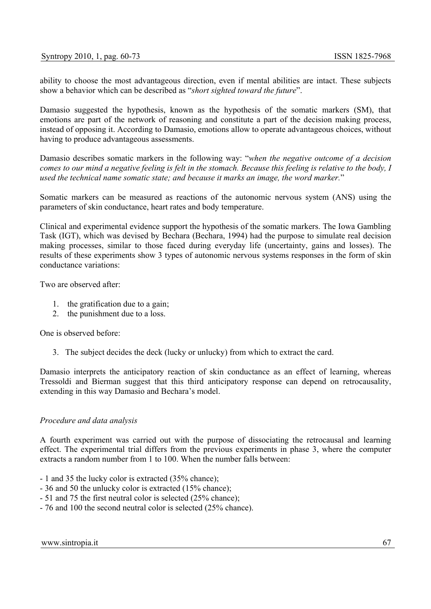ability to choose the most advantageous direction, even if mental abilities are intact. These subjects show a behavior which can be described as "*short sighted toward the future*".

Damasio suggested the hypothesis, known as the hypothesis of the somatic markers (SM), that emotions are part of the network of reasoning and constitute a part of the decision making process, instead of opposing it. According to Damasio, emotions allow to operate advantageous choices, without having to produce advantageous assessments.

Damasio describes somatic markers in the following way: "*when the negative outcome of a decision comes to our mind a negative feeling is felt in the stomach. Because this feeling is relative to the body, I used the technical name somatic state; and because it marks an image, the word marker.*"

Somatic markers can be measured as reactions of the autonomic nervous system (ANS) using the parameters of skin conductance, heart rates and body temperature.

Clinical and experimental evidence support the hypothesis of the somatic markers. The Iowa Gambling Task (IGT), which was devised by Bechara (Bechara, 1994) had the purpose to simulate real decision making processes, similar to those faced during everyday life (uncertainty, gains and losses). The results of these experiments show 3 types of autonomic nervous systems responses in the form of skin conductance variations:

Two are observed after:

- 1. the gratification due to a gain;
- 2. the punishment due to a loss.

One is observed before:

3. The subject decides the deck (lucky or unlucky) from which to extract the card.

Damasio interprets the anticipatory reaction of skin conductance as an effect of learning, whereas Tressoldi and Bierman suggest that this third anticipatory response can depend on retrocausality, extending in this way Damasio and Bechara's model.

# *Procedure and data analysis*

A fourth experiment was carried out with the purpose of dissociating the retrocausal and learning effect. The experimental trial differs from the previous experiments in phase 3, where the computer extracts a random number from 1 to 100. When the number falls between:

- 1 and 35 the lucky color is extracted (35% chance);
- 36 and 50 the unlucky color is extracted (15% chance);
- 51 and 75 the first neutral color is selected (25% chance);
- 76 and 100 the second neutral color is selected (25% chance).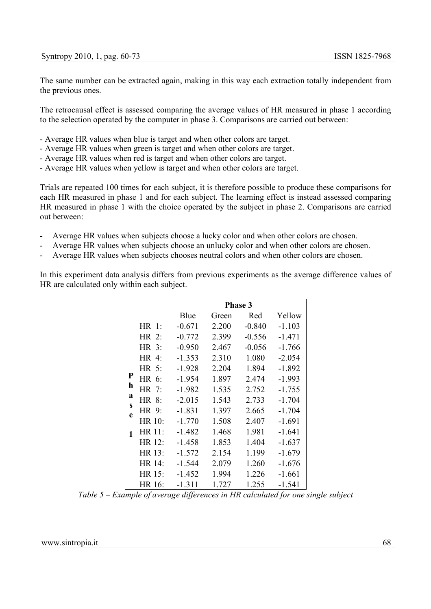The same number can be extracted again, making in this way each extraction totally independent from the previous ones.

The retrocausal effect is assessed comparing the average values of HR measured in phase 1 according to the selection operated by the computer in phase 3. Comparisons are carried out between:

- Average HR values when blue is target and when other colors are target.
- Average HR values when green is target and when other colors are target.
- Average HR values when red is target and when other colors are target.
- Average HR values when yellow is target and when other colors are target.

Trials are repeated 100 times for each subject, it is therefore possible to produce these comparisons for each HR measured in phase 1 and for each subject. The learning effect is instead assessed comparing HR measured in phase 1 with the choice operated by the subject in phase 2. Comparisons are carried out between:

- Average HR values when subjects choose a lucky color and when other colors are chosen.
- Average HR values when subjects choose an unlucky color and when other colors are chosen.
- Average HR values when subjects chooses neutral colors and when other colors are chosen.

In this experiment data analysis differs from previous experiments as the average difference values of HR are calculated only within each subject.

|        |         | <b>Phase 3</b> |       |          |          |  |
|--------|---------|----------------|-------|----------|----------|--|
|        |         | Blue           | Green | Red      | Yellow   |  |
|        | HR 1:   | $-0.671$       | 2.200 | $-0.840$ | $-1.103$ |  |
|        | $HR$ 2: | $-0.772$       | 2.399 | $-0.556$ | $-1.471$ |  |
|        | HR 3:   | $-0.950$       | 2.467 | $-0.056$ | $-1.766$ |  |
|        | HR 4:   | $-1.353$       | 2.310 | 1.080    | $-2.054$ |  |
|        | HR 5:   | $-1.928$       | 2.204 | 1.894    | $-1.892$ |  |
| P      | HR 6:   | $-1.954$       | 1.897 | 2.474    | $-1.993$ |  |
| h      | HR 7:   | $-1.982$       | 1.535 | 2.752    | $-1.755$ |  |
| a<br>S | HR 8:   | $-2.015$       | 1.543 | 2.733    | $-1.704$ |  |
| e      | HR 9:   | $-1.831$       | 1.397 | 2.665    | $-1.704$ |  |
|        | HR 10:  | $-1.770$       | 1.508 | 2.407    | $-1.691$ |  |
| 1      | HR 11:  | $-1.482$       | 1.468 | 1.981    | $-1.641$ |  |
|        | HR 12:  | $-1.458$       | 1.853 | 1.404    | $-1.637$ |  |
|        | HR 13:  | $-1.572$       | 2.154 | 1.199    | $-1.679$ |  |
|        | HR 14:  | $-1.544$       | 2.079 | 1.260    | $-1.676$ |  |
|        | HR 15:  | $-1.452$       | 1.994 | 1.226    | $-1.661$ |  |
|        | HR 16:  | $-1.311$       | 1.727 | 1.255    | $-1.541$ |  |

*Table 5 – Example of average differences in HR calculated for one single subject*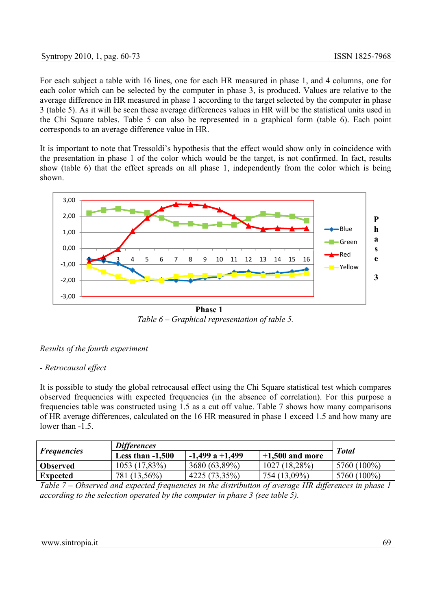# Syntropy 2010, 1, pag. 60-73 ISSN 1825-7968

For each subject a table with 16 lines, one for each HR measured in phase 1, and 4 columns, one for each color which can be selected by the computer in phase 3, is produced. Values are relative to the average difference in HR measured in phase 1 according to the target selected by the computer in phase 3 (table 5). As it will be seen these average differences values in HR will be the statistical units used in the Chi Square tables. Table 5 can also be represented in a graphical form (table 6). Each point corresponds to an average difference value in HR.

It is important to note that Tressoldi's hypothesis that the effect would show only in coincidence with the presentation in phase 1 of the color which would be the target, is not confirmed. In fact, results show (table 6) that the effect spreads on all phase 1, independently from the color which is being shown.



*Table 6 – Graphical representation of table 5.*

# *Results of the fourth experiment*

#### *- Retrocausal effect*

It is possible to study the global retrocausal effect using the Chi Square statistical test which compares observed frequencies with expected frequencies (in the absence of correlation). For this purpose a frequencies table was constructed using 1.5 as a cut off value. Table 7 shows how many comparisons of HR average differences, calculated on the 16 HR measured in phase 1 exceed 1.5 and how many are lower than  $-1.5$ .

|                    | <b>Differences</b> |                     |                   |              |
|--------------------|--------------------|---------------------|-------------------|--------------|
| <i>Frequencies</i> | Less than $-1,500$ | $-1,499$ a $+1,499$ | $+1,500$ and more | <b>Total</b> |
| <b>Observed</b>    | 1053(17,83%)       | 3680 (63,89%)       | $1027(18.28\%)$   | 5760 (100%)  |
| <b>Expected</b>    | 781 (13,56%)       | 4225 (73,35%)       | 754 (13,09%)      | 5760 (100%)  |

*Table 7 – Observed and expected frequencies in the distribution of average HR differences in phase 1 according to the selection operated by the computer in phase 3 (see table 5).*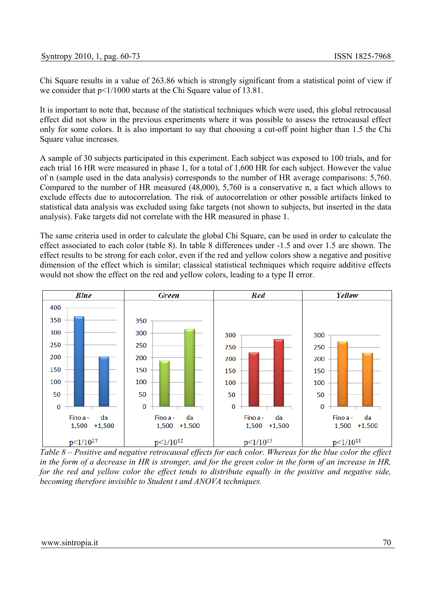Chi Square results in a value of 263.86 which is strongly significant from a statistical point of view if we consider that  $p<1/1000$  starts at the Chi Square value of 13.81.

It is important to note that, because of the statistical techniques which were used, this global retrocausal effect did not show in the previous experiments where it was possible to assess the retrocausal effect only for some colors. It is also important to say that choosing a cut-off point higher than 1.5 the Chi Square value increases.

A sample of 30 subjects participated in this experiment. Each subject was exposed to 100 trials, and for each trial 16 HR were measured in phase 1, for a total of 1,600 HR for each subject. However the value of n (sample used in the data analysis) corresponds to the number of HR average comparisons: 5,760. Compared to the number of HR measured (48,000), 5,760 is a conservative n, a fact which allows to exclude effects due to autocorrelation. The risk of autocorrelation or other possible artifacts linked to statistical data analysis was excluded using fake targets (not shown to subjects, but inserted in the data analysis). Fake targets did not correlate with the HR measured in phase 1.

The same criteria used in order to calculate the global Chi Square, can be used in order to calculate the effect associated to each color (table 8). In table 8 differences under -1.5 and over 1.5 are shown. The effect results to be strong for each color, even if the red and yellow colors show a negative and positive dimension of the effect which is similar; classical statistical techniques which require additive effects would not show the effect on the red and yellow colors, leading to a type II error.



*Table 8 – Positive and negative retrocausal effects for each color. Whereas for the blue color the effect in the form of a decrease in HR is stronger, and for the green color in the form of an increase in HR, for the red and yellow color the effect tends to distribute equally in the positive and negative side, becoming therefore invisible to Student t and ANOVA techniques.*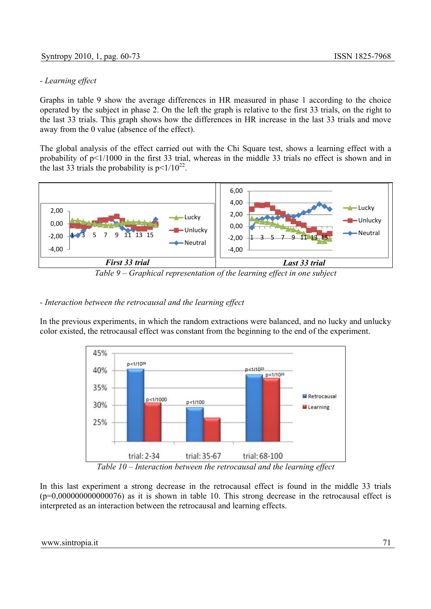# *- Learning effect*

Graphs in table 9 show the average differences in HR measured in phase 1 according to the choice operated by the subject in phase 2. On the left the graph is relative to the first 33 trials, on the right to the last 33 trials. This graph shows how the differences in HR increase in the last 33 trials and move away from the 0 value (absence of the effect).

The global analysis of the effect carried out with the Chi Square test, shows a learning effect with a probability of p<1/1000 in the first 33 trial, whereas in the middle 33 trials no effect is shown and in the last 33 trials the probability is  $p<1/10^{22}$ .

![](_page_11_Figure_5.jpeg)

*Table 9 – Graphical representation of the learning effect in one subject*

# *- Interaction between the retrocausal and the learning effect*

In the previous experiments, in which the random extractions were balanced, and no lucky and unlucky color existed, the retrocausal effect was constant from the beginning to the end of the experiment.

![](_page_11_Figure_9.jpeg)

*Table 10 – Interaction between the retrocausal and the learning effect*

In this last experiment a strong decrease in the retrocausal effect is found in the middle 33 trials  $(p=0.000000000000076)$  as it is shown in table 10. This strong decrease in the retrocausal effect is interpreted as an interaction between the retrocausal and learning effects.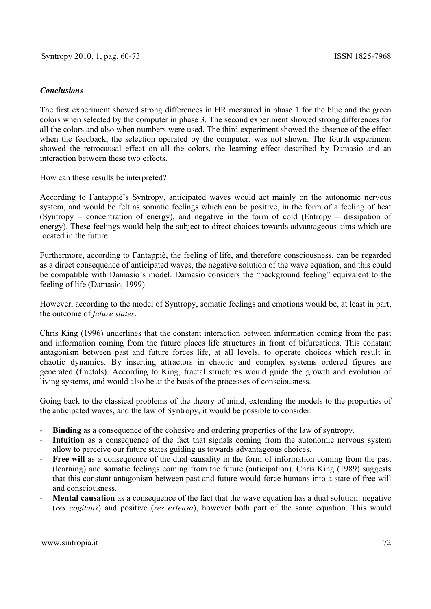# *Conclusions*

The first experiment showed strong differences in HR measured in phase 1 for the blue and the green colors when selected by the computer in phase 3. The second experiment showed strong differences for all the colors and also when numbers were used. The third experiment showed the absence of the effect when the feedback, the selection operated by the computer, was not shown. The fourth experiment showed the retrocausal effect on all the colors, the learning effect described by Damasio and an interaction between these two effects.

How can these results be interpreted?

According to Fantappiè's Syntropy, anticipated waves would act mainly on the autonomic nervous system, and would be felt as somatic feelings which can be positive, in the form of a feeling of heat (Syntropy = concentration of energy), and negative in the form of cold (Entropy = dissipation of energy). These feelings would help the subject to direct choices towards advantageous aims which are located in the future.

Furthermore, according to Fantappiè, the feeling of life, and therefore consciousness, can be regarded as a direct consequence of anticipated waves, the negative solution of the wave equation, and this could be compatible with Damasio's model. Damasio considers the "background feeling" equivalent to the feeling of life (Damasio, 1999).

However, according to the model of Syntropy, somatic feelings and emotions would be, at least in part, the outcome of *future states*.

Chris King (1996) underlines that the constant interaction between information coming from the past and information coming from the future places life structures in front of bifurcations. This constant antagonism between past and future forces life, at all levels, to operate choices which result in chaotic dynamics. By inserting attractors in chaotic and complex systems ordered figures are generated (fractals). According to King, fractal structures would guide the growth and evolution of living systems, and would also be at the basis of the processes of consciousness.

Going back to the classical problems of the theory of mind, extending the models to the properties of the anticipated waves, and the law of Syntropy, it would be possible to consider:

- **Binding** as a consequence of the cohesive and ordering properties of the law of syntropy.
- **Intuition** as a consequence of the fact that signals coming from the autonomic nervous system allow to perceive our future states guiding us towards advantageous choices.
- Free will as a consequence of the dual causality in the form of information coming from the past (learning) and somatic feelings coming from the future (anticipation). Chris King (1989) suggests that this constant antagonism between past and future would force humans into a state of free will and consciousness.
- **Mental causation** as a consequence of the fact that the wave equation has a dual solution: negative (*res cogitans*) and positive (*res extensa*), however both part of the same equation. This would